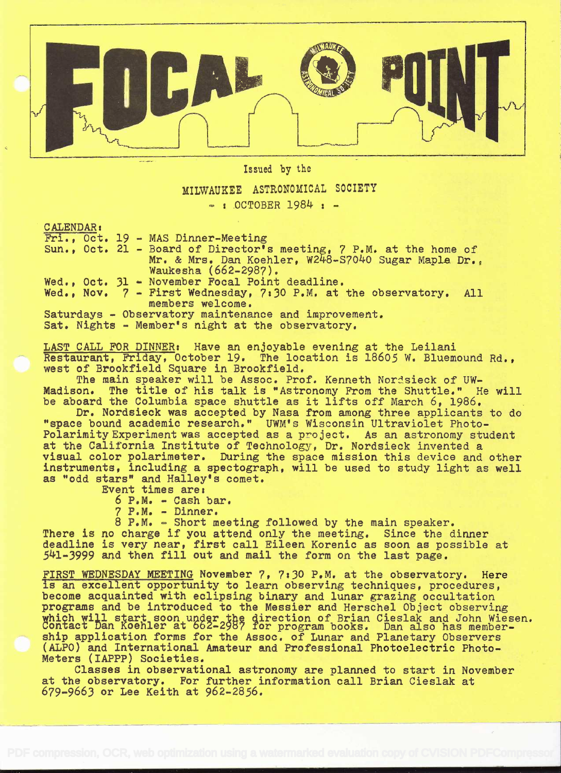

Issued by the

## MILWAUKEE ASTRONOMICAL SOCIETY

 $-$  : OCTOBER 1984 :  $-$ 

CALENDAR t

Fri., Oct. 19 - MAS Dinner-Meeting

Sun., Oct. 21 - Board of Director's meeting, 7 P.M. at the home of Mr. & Mrs. Dan Koehler, W248-S7040 Sugar Maple Dr., Waukesha (662-2987).

Wed., Oct. 31 - November Focal Point deadline.

Wed., Nov.  $7$  - First Wednesday, 7:30 P.M. at the observatory. All members welcome.

Saturdays - Observatory maintenance and improvement. Sat. Nights - Member's night at the observatory.

LAST CALL FOR DINNER: Have an enjoyable evening at the Leilani Restaurant, Friday, October 19. The location is 18605 W. Bluemound Rd., west of Brookfield Square in Brookfield.

The main speaker will be Assoc. Prof. Kenneth Nordsieck of UW-<br>Madison. The title of his talk is "Astronomy From the Shuttle." H The title of his talk is "Astronomy From the Shuttle." He will be aboard the Columbia space shuttle as it lifts off March 6, 1986.

Dr. Nordsieck was accepted by Nasa from among three applicants to do "space bound academic research." UWM's Wisconsin Ultraviolet Photo-Polarimity Experiment was accepted as a project. As an astronomy student at the California Institute of Technology, Dr. Nordsieck invented a visual color polarimeter. During the space mission this device and other instruments, including a spectograph, will be used to study light as well as "odd stars" and Halley's comet.

Event times are:

 $6$  P.M. - Cash bar.

7 P.M. - Dinner.

8 P.M. - Short meeting followed by the main speaker. There is no charge if you attend only the meeting. Since the dinner deadline is very near, first call Eileen Korenic as soon as possible at 541-3999 and then fill out and mail the form on the last page.

FIRST WEDNESDAY MEETING November 7, 7:30 P.M. at the observatory. Here is an excellent opportunity to learn observing techniques, procedures, become acquainted with eclipsing binary and lunar grazing occultation programs and be introduced to the Messier and Herschel Object observing which will start soon under the direction of Brian Cieslak and John Wiesen.<br>Contact Dan Koehler at 662-2987 for program books. Dan also has membership application forms for the Assoc. of Lunar and Planetary Observers (ALPO) and International Amateur and Professional Photoelectric Photo-Meters (IAPPP) Societies.

Classes in observational astronomy are planned to start in November at the observatory. For further information call Brian Cieslak at 679-9663 or Lee Keith at 962-2856.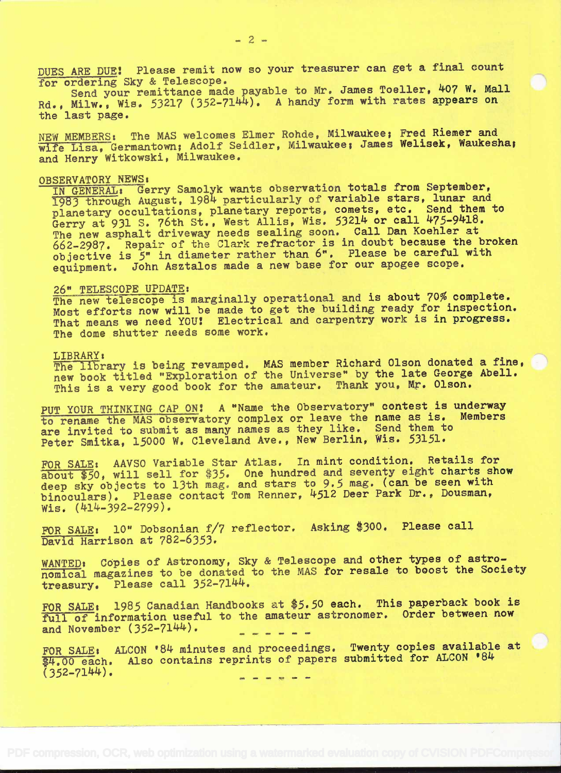DUES ARE DUE! Please remit now so your treasurer can get a final count for ordering Sky & Telescope. for ordering Sky & Telescope.

Send your remittance made payable to Mr. James Toeller, 407 W. Mall Rd., Milw., Wis. 53217 (352-7144). A handy form with rates appears on the last page.

NEW MEMBERS: The MAS welcomes Elmer Rohde, Milwaukee; Fred Riemer and wife Lisa, Germantown; Adolf Seidler, Milwaukee; James Welisek, Waukesha; and Henry Witkowski, Milwaukee.

# OBSERVATORY NEWS:

IN GENERALI Gerry Samolyk wants observation totals from September, 1983 through August, 1984 particularly of variable stars, lunar and planetary occultations, planetary reports, comets, etc. Send them to Gerry at 931 S. 76th St., West Allis, Wis.  $53214$  or call  $475-9418$ . The new asphalt driveway needs sealing soon. Call Dan Koehler at 662-2987. Repair of the Clark refractor is in doubt because the broken objective is 5" in diameter rather than 6". Please be careful with equipment. John Asztalos made a new base for our apogee scope.

### 26" TELESCOPE UPDATE:

The new telescope is marginally operational and is about 70% complete. Most efforts now will be made to get the building ready for inspection. That means we need YOU! Electrical and carpentry work is in progress. The dome shutter needs some work.

LIBRARY:<br>The library is being revamped. MAS member Richard Olson donated a fine, new book titled "Exploration of the Universe" by the late George Abell. This is a very good book for the amateur. Thank you, Mr. Olson.

PUT YOUR THINKING CAP ON: A "Name the Observatory" contest is underway to rename the MAS observatory complex or leave the name as is. Members are invited to submit as many names as they like. Send them to Peter Smitka, 15000 W. Cleveland Ave., New Berlin, Wis. 53151.

FOR SALE: AAVSO Variable Star Atlas. In mint condition. Retails for about \$50, will sell for \$35. One hundred and seventy eight charts show deep sky objects to 13th mag. and stars to 9.5 mag. (can be seen with binoculars). Please contact Tom Renner, 4512 Deer Park Dr., Dousman, Wis. (414-392-2799).

FOR SALE: 10" Dobsonian f/7 reflector. Asking \$300. Please call David Harrison at 782-6353.

WANTED: COpies of Astronomy, Sky & Telescope and other types of astronomical magazines to be donated to the MAS for resale to boost the Society<br>treasury. Please call 352-7144. Please call  $352-7144$ .

FOR SALE: 1985 Canadian Handbooks at \$5.50 each. This paperback book is full of information useful to the amateur astronomer. Order between now and November  $(352-7144)$ .

FOR SALE: ALCON '84 minutes and proceedings. Twenty copies available at \$4.00 each. Also contains reprints of papers submitted for ALCON '84  $(352 - 7144)$ .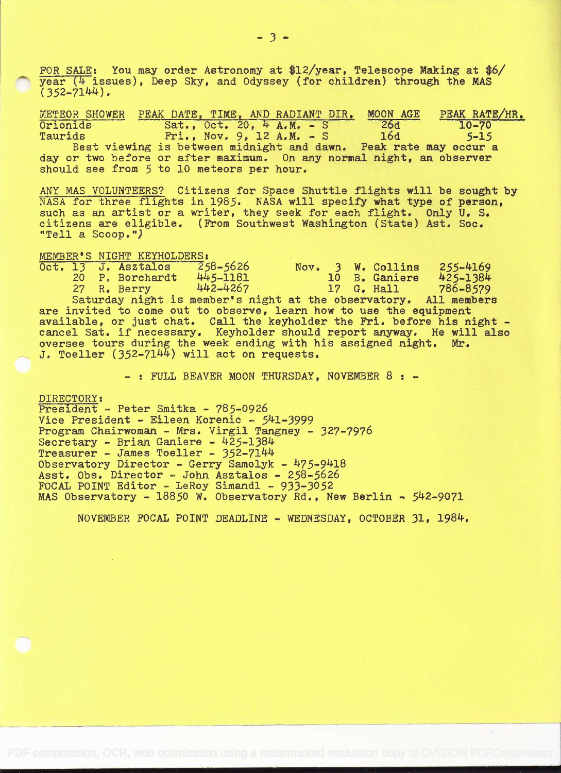FOR SALE: You may order Astronomy at \$12/year, Telescope Making at \$6/  $year$  (4 issues), Deep Sky, and Odyssey (for children) through the MAS  $(352 - 7144)$ .

METEOR SHOWER PEAK DATE, TIME, AND RADIANT DIR. MOON AGE PEAK RATE/HR.<br>Orionids Sat., Oct. 20, 4 A.M. - S 26d 10-70 Orionids Sat., Oct. 20, 4 A.M. - S 26d 10-70<br>Taurids Fri., Nov. 9, 12 A.M. - S 16d 5-15  $Fri., Nov. 9, 12 A.M. - S$ Best viewing is between midnight and dawn. Peak rate may occur a day or two before or after maximum. On any normal night, an observer should see from 5 to 10 meteors per hour.

ANY MAS VOLUNTEERS? Citizens for Space Shuttle flights will be sought by NASA for three flights in 1985. NASA will specify what type of person, such as an artist or a writer, they seek for each flight. Only U. S. citizens are eligible. (From Southwest Washington (State) Ast. Soc. "Tell a Scoop.")

MEMBER'S NIGHT KEYHOLDERS:<br>Oct. 13 J. Asztalos 258-5626 Oct. 13 J. Asztalos 258-5626 Nov. 3 W. Collins 255-L4169 P. Borchardt 445-1181<br>R. Berry 442-4267 27 R. Berry 4k2-1'267 17 G. Hall 786-8579 Saturday night is member's night at the observatory. All members are invited to come out to observe, learn how to use the equipment available, or just chat. Call the keyholder the Fri. before his night cancel Sat. if necessary. Keyholder should report anyway. He will also oversee tours during the week ending with his assigned night. Mr. J. Toeller  $(352-7144)$  will act on requests.

- : FULL BEAVER MOON THURSDAY, NOVEMBER 8 : -

DIRECTORY: President - Peter Smitka - 785-0926 Vice President - Eileen Korenic - 541-3999 Program Chairwoman - Mrs. Virgil Tangney - 327-7976 Secretary - Brian Ganiere - 425-1384 Treasurer - James Toeller - 352-7144 Observatory Director – Gerry Samolyk – 475-9418 Asst. Obs. Director – John Asztalos – 258–5626 FOCAL POINT Editor - LeRoy Simandl - 933-3052 MAS Observatory - 18850 W. Observatory Rd., New Berlin - 542-9071

NOVEMBER FOCAL POINT DEADLINE - WEDNESDAY, OCTOBER 31, 198k.